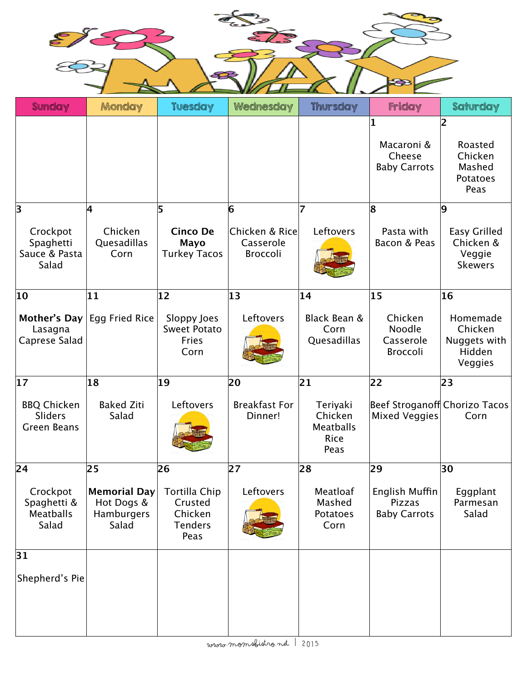

| <b>Sunday</b>                                              | Monday                                                   | <b>Tuesday</b>                                                       | Wednesday                                      | <b>Thursday</b>                                         | Friday                                                | Saturday                                                      |
|------------------------------------------------------------|----------------------------------------------------------|----------------------------------------------------------------------|------------------------------------------------|---------------------------------------------------------|-------------------------------------------------------|---------------------------------------------------------------|
|                                                            |                                                          |                                                                      |                                                |                                                         | 1<br>Macaroni &<br>Cheese<br><b>Baby Carrots</b>      | 12<br>Roasted<br>Chicken<br>Mashed<br><b>Potatoes</b><br>Peas |
| 3                                                          | 4                                                        | 5                                                                    | 6                                              | 7                                                       | 8                                                     | 9                                                             |
| Crockpot<br>Spaghetti<br>Sauce & Pasta<br>Salad            | Chicken<br>Quesadillas<br>Corn                           | <b>Cinco De</b><br><b>Mayo</b><br><b>Turkey Tacos</b>                | Chicken & Rice<br>Casserole<br><b>Broccoli</b> | Leftovers                                               | Pasta with<br>Bacon & Peas                            | <b>Easy Grilled</b><br>Chicken &<br>Veggie<br><b>Skewers</b>  |
| 10                                                         | 11                                                       | 12                                                                   | 13                                             | 14                                                      | $ 15\rangle$                                          | 16                                                            |
| Mother's Day<br>Lasagna<br>Caprese Salad                   | Egg Fried Rice                                           | Sloppy Joes<br><b>Sweet Potato</b><br>Fries<br>Corn                  | Leftovers                                      | Black Bean &<br>Corn<br>Quesadillas                     | Chicken<br>Noodle<br>Casserole<br><b>Broccoli</b>     | Homemade<br>Chicken<br>Nuggets with<br>Hidden<br>Veggies      |
| $ 17\rangle$                                               | 18                                                       | 19                                                                   | 20                                             | 21                                                      | 22                                                    | 23                                                            |
| <b>BBQ Chicken</b><br><b>Sliders</b><br><b>Green Beans</b> | <b>Baked Ziti</b><br>Salad                               | Leftovers                                                            | <b>Breakfast For</b><br>Dinner!                | Teriyaki<br>Chicken<br><b>Meatballs</b><br>Rice<br>Peas | Beef Stroganoff Chorizo Tacos<br><b>Mixed Veggies</b> | Corn                                                          |
| 24                                                         | 25                                                       | 26                                                                   | 27                                             | 28                                                      | 29                                                    | 30                                                            |
| Crockpot<br>Spaghetti &<br><b>Meatballs</b><br>Salad       | <b>Memorial Day</b><br>Hot Dogs &<br>Hamburgers<br>Salad | <b>Tortilla Chip</b><br>Crusted<br>Chicken<br><b>Tenders</b><br>Peas | Leftovers                                      | Meatloaf<br>Mashed<br><b>Potatoes</b><br>Corn           | English Muffin<br>Pizzas<br><b>Baby Carrots</b>       | Eggplant<br>Parmesan<br>Salad                                 |
| 31                                                         |                                                          |                                                                      |                                                |                                                         |                                                       |                                                               |
| Shepherd's Pie                                             |                                                          |                                                                      |                                                |                                                         |                                                       |                                                               |